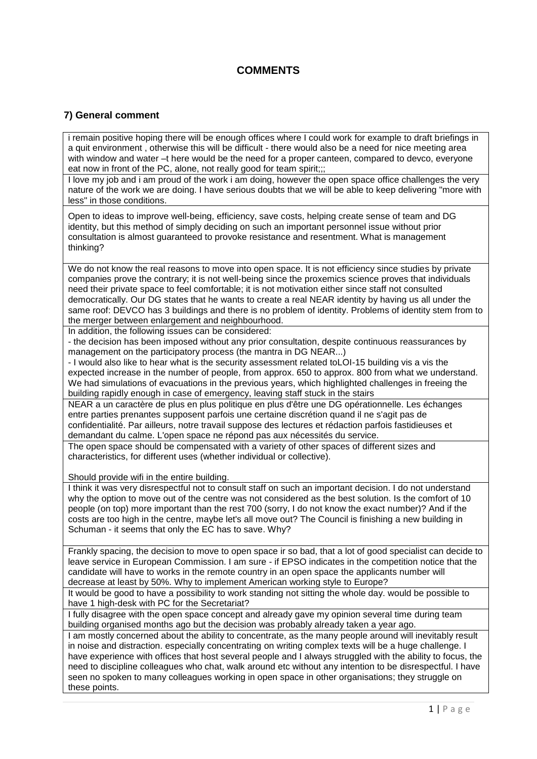## **COMMENTS**

## **7) General comment**

i remain positive hoping there will be enough offices where I could work for example to draft briefings in a quit environment , otherwise this will be difficult - there would also be a need for nice meeting area with window and water –t here would be the need for a proper canteen, compared to devco, everyone eat now in front of the PC, alone, not really good for team spirit;;;

I love my job and i am proud of the work i am doing, however the open space office challenges the very nature of the work we are doing. I have serious doubts that we will be able to keep delivering "more with less" in those conditions.

Open to ideas to improve well-being, efficiency, save costs, helping create sense of team and DG identity, but this method of simply deciding on such an important personnel issue without prior consultation is almost guaranteed to provoke resistance and resentment. What is management thinking?

We do not know the real reasons to move into open space. It is not efficiency since studies by private companies prove the contrary; it is not well-being since the proxemics science proves that individuals need their private space to feel comfortable; it is not motivation either since staff not consulted democratically. Our DG states that he wants to create a real NEAR identity by having us all under the same roof: DEVCO has 3 buildings and there is no problem of identity. Problems of identity stem from to the merger between enlargement and neighbourhood.

In addition, the following issues can be considered:

- the decision has been imposed without any prior consultation, despite continuous reassurances by management on the participatory process (the mantra in DG NEAR...)

- I would also like to hear what is the security assessment related toLOI-15 building vis a vis the expected increase in the number of people, from approx. 650 to approx. 800 from what we understand. We had simulations of evacuations in the previous years, which highlighted challenges in freeing the building rapidly enough in case of emergency, leaving staff stuck in the stairs

NEAR a un caractère de plus en plus politique en plus d'être une DG opérationnelle. Les échanges entre parties prenantes supposent parfois une certaine discrétion quand il ne s'agit pas de confidentialité. Par ailleurs, notre travail suppose des lectures et rédaction parfois fastidieuses et demandant du calme. L'open space ne répond pas aux nécessités du service.

The open space should be compensated with a variety of other spaces of different sizes and characteristics, for different uses (whether individual or collective).

Should provide wifi in the entire building.

I think it was very disrespectful not to consult staff on such an important decision. I do not understand why the option to move out of the centre was not considered as the best solution. Is the comfort of 10 people (on top) more important than the rest 700 (sorry, I do not know the exact number)? And if the costs are too high in the centre, maybe let's all move out? The Council is finishing a new building in Schuman - it seems that only the EC has to save. Why?

Frankly spacing, the decision to move to open space ir so bad, that a lot of good specialist can decide to leave service in European Commission. I am sure - if EPSO indicates in the competition notice that the candidate will have to works in the remote country in an open space the applicants number will decrease at least by 50%. Why to implement American working style to Europe?

It would be good to have a possibility to work standing not sitting the whole day. would be possible to have 1 high-desk with PC for the Secretariat?

I fully disagree with the open space concept and already gave my opinion several time during team building organised months ago but the decision was probably already taken a year ago.

I am mostly concerned about the ability to concentrate, as the many people around will inevitably result in noise and distraction. especially concentrating on writing complex texts will be a huge challenge. I have experience with offices that host several people and I always struggled with the ability to focus, the need to discipline colleagues who chat, walk around etc without any intention to be disrespectful. I have seen no spoken to many colleagues working in open space in other organisations; they struggle on these points.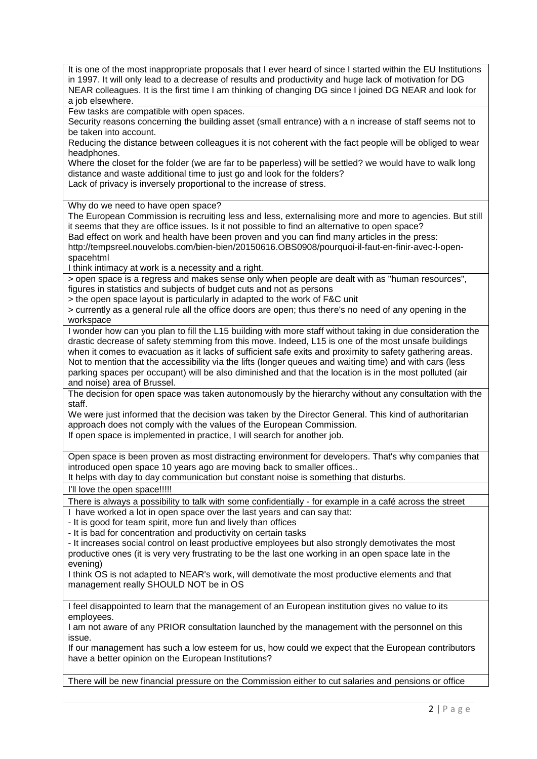It is one of the most inappropriate proposals that I ever heard of since I started within the EU Institutions in 1997. It will only lead to a decrease of results and productivity and huge lack of motivation for DG NEAR colleagues. It is the first time I am thinking of changing DG since I joined DG NEAR and look for a job elsewhere.

Few tasks are compatible with open spaces.

Security reasons concerning the building asset (small entrance) with a n increase of staff seems not to be taken into account.

Reducing the distance between colleagues it is not coherent with the fact people will be obliged to wear headphones.

Where the closet for the folder (we are far to be paperless) will be settled? we would have to walk long distance and waste additional time to just go and look for the folders? Lack of privacy is inversely proportional to the increase of stress.

Why do we need to have open space?

The European Commission is recruiting less and less, externalising more and more to agencies. But still it seems that they are office issues. Is it not possible to find an alternative to open space?

Bad effect on work and health have been proven and you can find many articles in the press: http://tempsreel.nouvelobs.com/bien-bien/20150616.OBS0908/pourquoi-il-faut-en-finir-avec-l-openspacehtml

I think intimacy at work is a necessity and a right.

> open space is a regress and makes sense only when people are dealt with as "human resources", figures in statistics and subjects of budget cuts and not as persons

> the open space layout is particularly in adapted to the work of F&C unit

> currently as a general rule all the office doors are open; thus there's no need of any opening in the workspace

I wonder how can you plan to fill the L15 building with more staff without taking in due consideration the drastic decrease of safety stemming from this move. Indeed, L15 is one of the most unsafe buildings when it comes to evacuation as it lacks of sufficient safe exits and proximity to safety gathering areas. Not to mention that the accessibility via the lifts (longer queues and waiting time) and with cars (less parking spaces per occupant) will be also diminished and that the location is in the most polluted (air and noise) area of Brussel.

The decision for open space was taken autonomously by the hierarchy without any consultation with the staff.

We were just informed that the decision was taken by the Director General. This kind of authoritarian approach does not comply with the values of the European Commission. If open space is implemented in practice, I will search for another job.

Open space is been proven as most distracting environment for developers. That's why companies that introduced open space 10 years ago are moving back to smaller offices..

It helps with day to day communication but constant noise is something that disturbs.

I'll love the open space!!!!!

There is always a possibility to talk with some confidentially - for example in a café across the street

I have worked a lot in open space over the last years and can say that:

- It is good for team spirit, more fun and lively than offices

- It is bad for concentration and productivity on certain tasks

- It increases social control on least productive employees but also strongly demotivates the most productive ones (it is very very frustrating to be the last one working in an open space late in the evening)

I think OS is not adapted to NEAR's work, will demotivate the most productive elements and that management really SHOULD NOT be in OS

I feel disappointed to learn that the management of an European institution gives no value to its employees.

I am not aware of any PRIOR consultation launched by the management with the personnel on this issue.

If our management has such a low esteem for us, how could we expect that the European contributors have a better opinion on the European Institutions?

There will be new financial pressure on the Commission either to cut salaries and pensions or office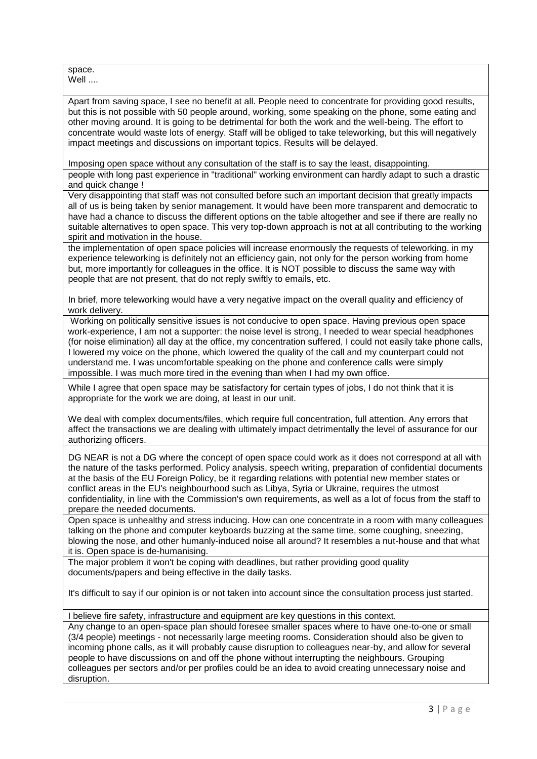space. Well ....

Apart from saving space, I see no benefit at all. People need to concentrate for providing good results, but this is not possible with 50 people around, working, some speaking on the phone, some eating and other moving around. It is going to be detrimental for both the work and the well-being. The effort to concentrate would waste lots of energy. Staff will be obliged to take teleworking, but this will negatively impact meetings and discussions on important topics. Results will be delayed.

Imposing open space without any consultation of the staff is to say the least, disappointing.

people with long past experience in "traditional" working environment can hardly adapt to such a drastic and quick change !

Very disappointing that staff was not consulted before such an important decision that greatly impacts all of us is being taken by senior management. It would have been more transparent and democratic to have had a chance to discuss the different options on the table altogether and see if there are really no suitable alternatives to open space. This very top-down approach is not at all contributing to the working spirit and motivation in the house.

the implementation of open space policies will increase enormously the requests of teleworking. in my experience teleworking is definitely not an efficiency gain, not only for the person working from home but, more importantly for colleagues in the office. It is NOT possible to discuss the same way with people that are not present, that do not reply swiftly to emails, etc.

In brief, more teleworking would have a very negative impact on the overall quality and efficiency of work delivery.

Working on politically sensitive issues is not conducive to open space. Having previous open space work-experience, I am not a supporter: the noise level is strong, I needed to wear special headphones (for noise elimination) all day at the office, my concentration suffered, I could not easily take phone calls, I lowered my voice on the phone, which lowered the quality of the call and my counterpart could not understand me. I was uncomfortable speaking on the phone and conference calls were simply impossible. I was much more tired in the evening than when I had my own office.

While I agree that open space may be satisfactory for certain types of jobs, I do not think that it is appropriate for the work we are doing, at least in our unit.

We deal with complex documents/files, which require full concentration, full attention. Any errors that affect the transactions we are dealing with ultimately impact detrimentally the level of assurance for our authorizing officers.

DG NEAR is not a DG where the concept of open space could work as it does not correspond at all with the nature of the tasks performed. Policy analysis, speech writing, preparation of confidential documents at the basis of the EU Foreign Policy, be it regarding relations with potential new member states or conflict areas in the EU's neighbourhood such as Libya, Syria or Ukraine, requires the utmost confidentiality, in line with the Commission's own requirements, as well as a lot of focus from the staff to prepare the needed documents.

Open space is unhealthy and stress inducing. How can one concentrate in a room with many colleagues talking on the phone and computer keyboards buzzing at the same time, some coughing, sneezing, blowing the nose, and other humanly-induced noise all around? It resembles a nut-house and that what it is. Open space is de-humanising.

The major problem it won't be coping with deadlines, but rather providing good quality documents/papers and being effective in the daily tasks.

It's difficult to say if our opinion is or not taken into account since the consultation process just started.

I believe fire safety, infrastructure and equipment are key questions in this context.

Any change to an open-space plan should foresee smaller spaces where to have one-to-one or small (3/4 people) meetings - not necessarily large meeting rooms. Consideration should also be given to incoming phone calls, as it will probably cause disruption to colleagues near-by, and allow for several people to have discussions on and off the phone without interrupting the neighbours. Grouping colleagues per sectors and/or per profiles could be an idea to avoid creating unnecessary noise and disruption.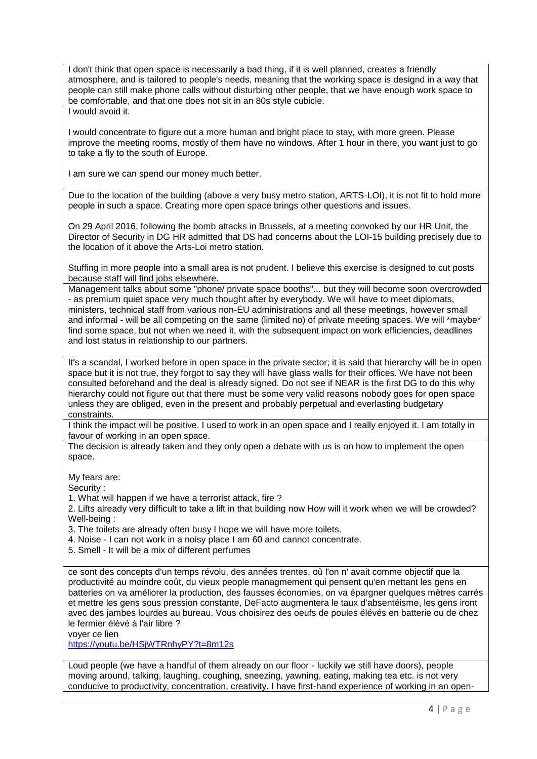I don't think that open space is necessarily a bad thing, if it is well planned, creates a friendly atmosphere, and is tailored to people's needs, meaning that the working space is designd in a way that people can still make phone calls without disturbing other people, that we have enough work space to be comfortable, and that one does not sit in an 80s style cubicle.

I would avoid it.

I would concentrate to figure out a more human and bright place to stay, with more green. Please improve the meeting rooms, mostly of them have no windows. After 1 hour in there, you want just to go to take a fly to the south of Europe.

I am sure we can spend our money much better.

Due to the location of the building (above a very busy metro station, ARTS-LOI), it is not fit to hold more people in such a space. Creating more open space brings other questions and issues.

On 29 April 2016, following the bomb attacks in Brussels, at a meeting convoked by our HR Unit, the Director of Security in DG HR admitted that DS had concerns about the LOI-15 building precisely due to the location of it above the Arts-Loi metro station.

Stuffing in more people into a small area is not prudent. I believe this exercise is designed to cut posts because staff will find jobs elsewhere.

Management talks about some "phone/ private space booths"... but they will become soon overcrowded - as premium quiet space very much thought after by everybody. We will have to meet diplomats, ministers, technical staff from various non-EU administrations and all these meetings, however small and informal - will be all competing on the same (limited no) of private meeting spaces. We will \*maybe\* find some space, but not when we need it, with the subsequent impact on work efficiencies, deadlines and lost status in relationship to our partners.

It's a scandal, I worked before in open space in the private sector; it is said that hierarchy will be in open space but it is not true, they forgot to say they will have glass walls for their offices. We have not been consulted beforehand and the deal is already signed. Do not see if NEAR is the first DG to do this why hierarchy could not figure out that there must be some very valid reasons nobody goes for open space unless they are obliged, even in the present and probably perpetual and everlasting budgetary constraints.

I think the impact will be positive. I used to work in an open space and I really enjoyed it. I am totally in favour of working in an open space.

The decision is already taken and they only open a debate with us is on how to implement the open space.

My fears are:

Security :

1. What will happen if we have a terrorist attack, fire ?

2. Lifts already very difficult to take a lift in that building now How will it work when we will be crowded? Well-being :

3. The toilets are already often busy I hope we will have more toilets.

4. Noise - I can not work in a noisy place I am 60 and cannot concentrate.

5. Smell - It will be a mix of different perfumes

ce sont des concepts d'un temps révolu, des années trentes, où l'on n' avait comme objectif que la productivité au moindre coût, du vieux people managmement qui pensent qu'en mettant les gens en batteries on va améliorer la production, des fausses économies, on va épargner quelques mètres carrés et mettre les gens sous pression constante, DeFacto augmentera le taux d'absentéisme, les gens iront avec des jambes lourdes au bureau. Vous choisirez des oeufs de poules élévés en batterie ou de chez le fermier élévé à l'air libre ?

voyer ce lien

<https://youtu.be/HSjWTRnhyPY?t=8m12s>

Loud people (we have a handful of them already on our floor - luckily we still have doors), people moving around, talking, laughing, coughing, sneezing, yawning, eating, making tea etc. is not very conducive to productivity, concentration, creativity. I have first-hand experience of working in an open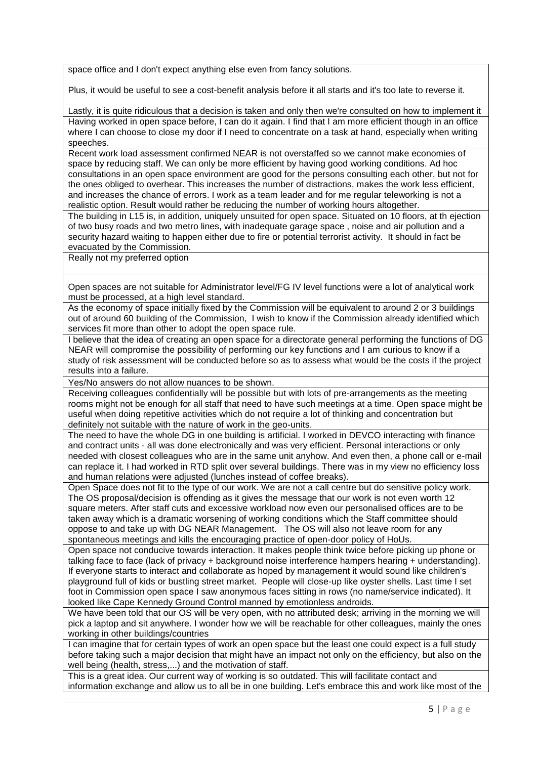space office and I don't expect anything else even from fancy solutions.

Plus, it would be useful to see a cost-benefit analysis before it all starts and it's too late to reverse it.

Lastly, it is quite ridiculous that a decision is taken and only then we're consulted on how to implement it Having worked in open space before, I can do it again. I find that I am more efficient though in an office where I can choose to close my door if I need to concentrate on a task at hand, especially when writing speeches.

Recent work load assessment confirmed NEAR is not overstaffed so we cannot make economies of space by reducing staff. We can only be more efficient by having good working conditions. Ad hoc consultations in an open space environment are good for the persons consulting each other, but not for the ones obliged to overhear. This increases the number of distractions, makes the work less efficient, and increases the chance of errors. I work as a team leader and for me regular teleworking is not a realistic option. Result would rather be reducing the number of working hours altogether.

The building in L15 is, in addition, uniquely unsuited for open space. Situated on 10 floors, at th ejection of two busy roads and two metro lines, with inadequate garage space , noise and air pollution and a security hazard waiting to happen either due to fire or potential terrorist activity. It should in fact be evacuated by the Commission.

Really not my preferred option

Open spaces are not suitable for Administrator level/FG IV level functions were a lot of analytical work must be processed, at a high level standard.

As the economy of space initially fixed by the Commission will be equivalent to around 2 or 3 buildings out of around 60 building of the Commission, I wish to know if the Commission already identified which services fit more than other to adopt the open space rule.

I believe that the idea of creating an open space for a directorate general performing the functions of DG NEAR will compromise the possibility of performing our key functions and I am curious to know if a study of risk assessment will be conducted before so as to assess what would be the costs if the project results into a failure.

Yes/No answers do not allow nuances to be shown.

Receiving colleagues confidentially will be possible but with lots of pre-arrangements as the meeting rooms might not be enough for all staff that need to have such meetings at a time. Open space might be useful when doing repetitive activities which do not require a lot of thinking and concentration but definitely not suitable with the nature of work in the geo-units.

The need to have the whole DG in one building is artificial. I worked in DEVCO interacting with finance and contract units - all was done electronically and was very efficient. Personal interactions or only needed with closest colleagues who are in the same unit anyhow. And even then, a phone call or e-mail can replace it. I had worked in RTD split over several buildings. There was in my view no efficiency loss and human relations were adjusted (lunches instead of coffee breaks).

Open Space does not fit to the type of our work. We are not a call centre but do sensitive policy work. The OS proposal/decision is offending as it gives the message that our work is not even worth 12 square meters. After staff cuts and excessive workload now even our personalised offices are to be taken away which is a dramatic worsening of working conditions which the Staff committee should oppose to and take up with DG NEAR Management. The OS will also not leave room for any spontaneous meetings and kills the encouraging practice of open-door policy of HoUs.

Open space not conducive towards interaction. It makes people think twice before picking up phone or talking face to face (lack of privacy + background noise interference hampers hearing + understanding). If everyone starts to interact and collaborate as hoped by management it would sound like children's playground full of kids or bustling street market. People will close-up like oyster shells. Last time I set foot in Commission open space I saw anonymous faces sitting in rows (no name/service indicated). It looked like Cape Kennedy Ground Control manned by emotionless androids.

We have been told that our OS will be very open, with no attributed desk; arriving in the morning we will pick a laptop and sit anywhere. I wonder how we will be reachable for other colleagues, mainly the ones working in other buildings/countries

I can imagine that for certain types of work an open space but the least one could expect is a full study before taking such a major decision that might have an impact not only on the efficiency, but also on the well being (health, stress,...) and the motivation of staff.

This is a great idea. Our current way of working is so outdated. This will facilitate contact and information exchange and allow us to all be in one building. Let's embrace this and work like most of the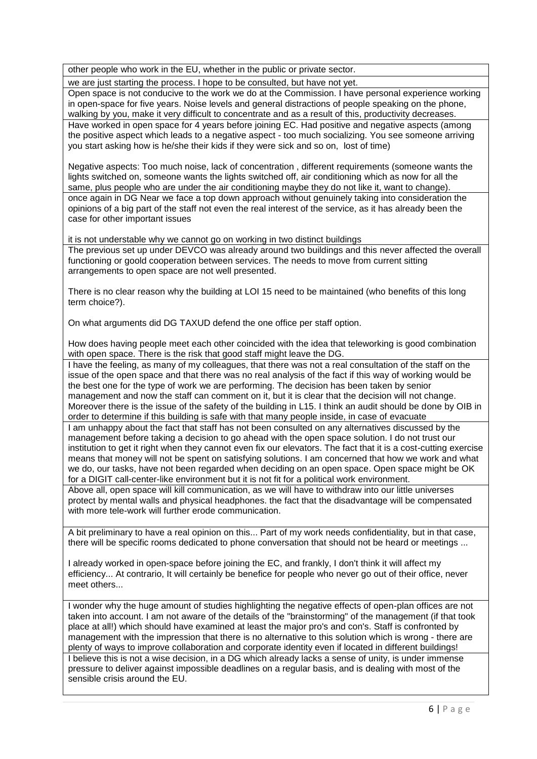other people who work in the EU, whether in the public or private sector.

we are just starting the process. I hope to be consulted, but have not yet.

Open space is not conducive to the work we do at the Commission. I have personal experience working in open-space for five years. Noise levels and general distractions of people speaking on the phone, walking by you, make it very difficult to concentrate and as a result of this, productivity decreases. Have worked in open space for 4 years before joining EC. Had positive and negative aspects (among the positive aspect which leads to a negative aspect - too much socializing. You see someone arriving you start asking how is he/she their kids if they were sick and so on, lost of time)

Negative aspects: Too much noise, lack of concentration , different requirements (someone wants the lights switched on, someone wants the lights switched off, air conditioning which as now for all the same, plus people who are under the air conditioning maybe they do not like it, want to change). once again in DG Near we face a top down approach without genuinely taking into consideration the opinions of a big part of the staff not even the real interest of the service, as it has already been the case for other important issues

it is not understable why we cannot go on working in two distinct buildings

The previous set up under DEVCO was already around two buildings and this never affected the overall functioning or goold cooperation between services. The needs to move from current sitting arrangements to open space are not well presented.

There is no clear reason why the building at LOI 15 need to be maintained (who benefits of this long term choice?).

On what arguments did DG TAXUD defend the one office per staff option.

How does having people meet each other coincided with the idea that teleworking is good combination with open space. There is the risk that good staff might leave the DG.

I have the feeling, as many of my colleagues, that there was not a real consultation of the staff on the issue of the open space and that there was no real analysis of the fact if this way of working would be the best one for the type of work we are performing. The decision has been taken by senior management and now the staff can comment on it, but it is clear that the decision will not change. Moreover there is the issue of the safety of the building in L15. I think an audit should be done by OIB in order to determine if this building is safe with that many people inside, in case of evacuate I am unhappy about the fact that staff has not been consulted on any alternatives discussed by the

management before taking a decision to go ahead with the open space solution. I do not trust our institution to get it right when they cannot even fix our elevators. The fact that it is a cost-cutting exercise means that money will not be spent on satisfying solutions. I am concerned that how we work and what we do, our tasks, have not been regarded when deciding on an open space. Open space might be OK for a DIGIT call-center-like environment but it is not fit for a political work environment.

Above all, open space will kill communication, as we will have to withdraw into our little universes protect by mental walls and physical headphones. the fact that the disadvantage will be compensated with more tele-work will further erode communication.

A bit preliminary to have a real opinion on this... Part of my work needs confidentiality, but in that case, there will be specific rooms dedicated to phone conversation that should not be heard or meetings ...

I already worked in open-space before joining the EC, and frankly, I don't think it will affect my efficiency... At contrario, It will certainly be benefice for people who never go out of their office, never meet others...

I wonder why the huge amount of studies highlighting the negative effects of open-plan offices are not taken into account. I am not aware of the details of the "brainstorming" of the management (if that took place at all!) which should have examined at least the major pro's and con's. Staff is confronted by management with the impression that there is no alternative to this solution which is wrong - there are plenty of ways to improve collaboration and corporate identity even if located in different buildings! I believe this is not a wise decision, in a DG which already lacks a sense of unity, is under immense pressure to deliver against impossible deadlines on a regular basis, and is dealing with most of the sensible crisis around the EU.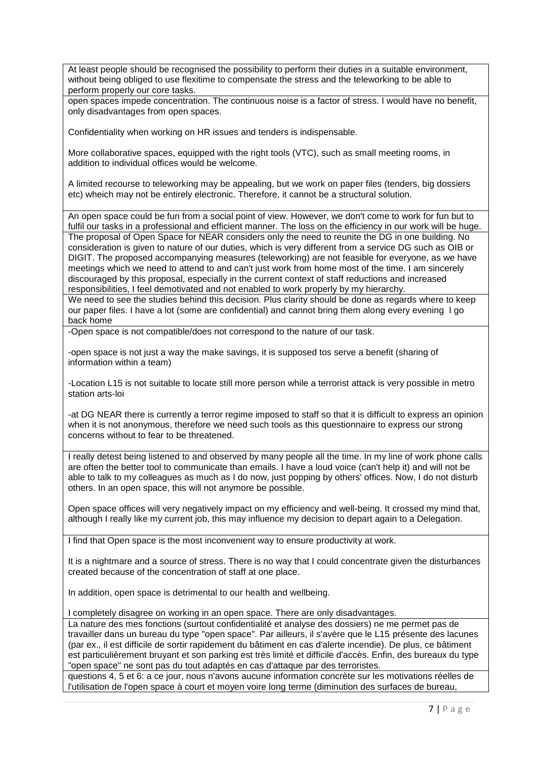At least people should be recognised the possibility to perform their duties in a suitable environment, without being obliged to use flexitime to compensate the stress and the teleworking to be able to perform properly our core tasks.

open spaces impede concentration. The continuous noise is a factor of stress. I would have no benefit, only disadvantages from open spaces.

Confidentiality when working on HR issues and tenders is indispensable.

More collaborative spaces, equipped with the right tools (VTC), such as small meeting rooms, in addition to individual offices would be welcome.

A limited recourse to teleworking may be appealing, but we work on paper files (tenders, big dossiers etc) wheich may not be entirely electronic. Therefore, it cannot be a structural solution.

An open space could be fun from a social point of view. However, we don't come to work for fun but to fulfil our tasks in a professional and efficient manner. The loss on the efficiency in our work will be huge. The proposal of Open Space for NEAR considers only the need to reunite the DG in one building. No consideration is given to nature of our duties, which is very different from a service DG such as OIB or DIGIT. The proposed accompanying measures (teleworking) are not feasible for everyone, as we have meetings which we need to attend to and can't just work from home most of the time. I am sincerely discouraged by this proposal, especially in the current context of staff reductions and increased responsibilities, I feel demotivated and not enabled to work properly by my hierarchy.

We need to see the studies behind this decision. Plus clarity should be done as regards where to keep our paper files. I have a lot (some are confidential) and cannot bring them along every evening I go back home

-Open space is not compatible/does not correspond to the nature of our task.

-open space is not just a way the make savings, it is supposed tos serve a benefit (sharing of information within a team)

-Location L15 is not suitable to locate still more person while a terrorist attack is very possible in metro station arts-loi

-at DG NEAR there is currently a terror regime imposed to staff so that it is difficult to express an opinion when it is not anonymous, therefore we need such tools as this questionnaire to express our strong concerns without to fear to be threatened.

I really detest being listened to and observed by many people all the time. In my line of work phone calls are often the better tool to communicate than emails. I have a loud voice (can't help it) and will not be able to talk to my colleagues as much as I do now, just popping by others' offices. Now, I do not disturb others. In an open space, this will not anymore be possible.

Open space offices will very negatively impact on my efficiency and well-being. It crossed my mind that, although I really like my current job, this may influence my decision to depart again to a Delegation.

I find that Open space is the most inconvenient way to ensure productivity at work.

It is a nightmare and a source of stress. There is no way that I could concentrate given the disturbances created because of the concentration of staff at one place.

In addition, open space is detrimental to our health and wellbeing.

I completely disagree on working in an open space. There are only disadvantages.

La nature des mes fonctions (surtout confidentialité et analyse des dossiers) ne me permet pas de travailler dans un bureau du type "open space". Par ailleurs, il s'avère que le L15 présente des lacunes (par ex., il est difficile de sortir rapidement du bâtiment en cas d'alerte incendie). De plus, ce bâtiment est particulièrement bruyant et son parking est très limité et difficile d'accès. Enfin, des bureaux du type "open space" ne sont pas du tout adaptés en cas d'attaque par des terroristes.

questions 4, 5 et 6: a ce jour, nous n'avons aucune information concrète sur les motivations réelles de l'utilisation de l'open space à court et moyen voire long terme (diminution des surfaces de bureau,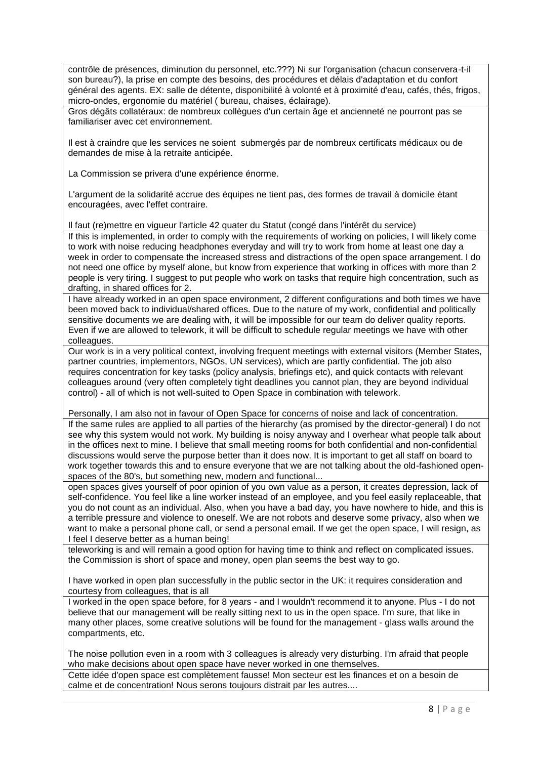contrôle de présences, diminution du personnel, etc.???) Ni sur l'organisation (chacun conservera-t-il son bureau?), la prise en compte des besoins, des procédures et délais d'adaptation et du confort général des agents. EX: salle de détente, disponibilité à volonté et à proximité d'eau, cafés, thés, frigos, micro-ondes, ergonomie du matériel ( bureau, chaises, éclairage).

Gros dégâts collatéraux: de nombreux collègues d'un certain âge et ancienneté ne pourront pas se familiariser avec cet environnement.

Il est à craindre que les services ne soient submergés par de nombreux certificats médicaux ou de demandes de mise à la retraite anticipée.

La Commission se privera d'une expérience énorme.

L'argument de la solidarité accrue des équipes ne tient pas, des formes de travail à domicile étant encouragées, avec l'effet contraire.

Il faut (re)mettre en vigueur l'article 42 quater du Statut (congé dans l'intérêt du service)

If this is implemented, in order to comply with the requirements of working on policies, I will likely come to work with noise reducing headphones everyday and will try to work from home at least one day a week in order to compensate the increased stress and distractions of the open space arrangement. I do not need one office by myself alone, but know from experience that working in offices with more than 2 people is very tiring. I suggest to put people who work on tasks that require high concentration, such as drafting, in shared offices for 2.

I have already worked in an open space environment, 2 different configurations and both times we have been moved back to individual/shared offices. Due to the nature of my work, confidential and politically sensitive documents we are dealing with, it will be impossible for our team do deliver quality reports. Even if we are allowed to telework, it will be difficult to schedule regular meetings we have with other colleagues.

Our work is in a very political context, involving frequent meetings with external visitors (Member States, partner countries, implementors, NGOs, UN services), which are partly confidential. The job also requires concentration for key tasks (policy analysis, briefings etc), and quick contacts with relevant colleagues around (very often completely tight deadlines you cannot plan, they are beyond individual control) - all of which is not well-suited to Open Space in combination with telework.

Personally, I am also not in favour of Open Space for concerns of noise and lack of concentration. If the same rules are applied to all parties of the hierarchy (as promised by the director-general) I do not see why this system would not work. My building is noisy anyway and I overhear what people talk about in the offices next to mine. I believe that small meeting rooms for both confidential and non-confidential discussions would serve the purpose better than it does now. It is important to get all staff on board to work together towards this and to ensure everyone that we are not talking about the old-fashioned openspaces of the 80's, but something new, modern and functional...

open spaces gives yourself of poor opinion of you own value as a person, it creates depression, lack of self-confidence. You feel like a line worker instead of an employee, and you feel easily replaceable, that you do not count as an individual. Also, when you have a bad day, you have nowhere to hide, and this is a terrible pressure and violence to oneself. We are not robots and deserve some privacy, also when we want to make a personal phone call, or send a personal email. If we get the open space, I will resign, as I feel I deserve better as a human being!

teleworking is and will remain a good option for having time to think and reflect on complicated issues. the Commission is short of space and money, open plan seems the best way to go.

I have worked in open plan successfully in the public sector in the UK: it requires consideration and courtesy from colleagues, that is all

I worked in the open space before, for 8 years - and I wouldn't recommend it to anyone. Plus - I do not believe that our management will be really sitting next to us in the open space. I'm sure, that like in many other places, some creative solutions will be found for the management - glass walls around the compartments, etc.

The noise pollution even in a room with 3 colleagues is already very disturbing. I'm afraid that people who make decisions about open space have never worked in one themselves.

Cette idée d'open space est complètement fausse! Mon secteur est les finances et on a besoin de calme et de concentration! Nous serons toujours distrait par les autres....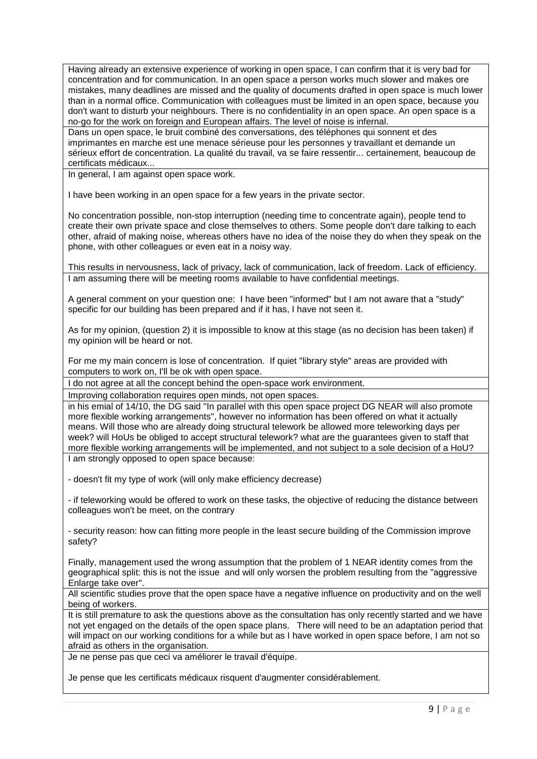Having already an extensive experience of working in open space, I can confirm that it is very bad for concentration and for communication. In an open space a person works much slower and makes ore mistakes, many deadlines are missed and the quality of documents drafted in open space is much lower than in a normal office. Communication with colleagues must be limited in an open space, because you don't want to disturb your neighbours. There is no confidentiality in an open space. An open space is a no-go for the work on foreign and European affairs. The level of noise is infernal.

Dans un open space, le bruit combiné des conversations, des téléphones qui sonnent et des imprimantes en marche est une menace sérieuse pour les personnes y travaillant et demande un sérieux effort de concentration. La qualité du travail, va se faire ressentir... certainement, beaucoup de certificats médicaux...

In general, I am against open space work.

I have been working in an open space for a few years in the private sector.

No concentration possible, non-stop interruption (needing time to concentrate again), people tend to create their own private space and close themselves to others. Some people don't dare talking to each other, afraid of making noise, whereas others have no idea of the noise they do when they speak on the phone, with other colleagues or even eat in a noisy way.

This results in nervousness, lack of privacy, lack of communication, lack of freedom. Lack of efficiency. I am assuming there will be meeting rooms available to have confidential meetings.

A general comment on your question one: I have been "informed" but I am not aware that a "study" specific for our building has been prepared and if it has, I have not seen it.

As for my opinion, (question 2) it is impossible to know at this stage (as no decision has been taken) if my opinion will be heard or not.

For me my main concern is lose of concentration. If quiet "library style" areas are provided with computers to work on, I'll be ok with open space.

I do not agree at all the concept behind the open-space work environment.

Improving collaboration requires open minds, not open spaces.

in his emial of 14/10, the DG said ''In parallel with this open space project DG NEAR will also promote more flexible working arrangements'', however no information has been offered on what it actually means. Will those who are already doing structural telework be allowed more teleworking days per week? will HoUs be obliged to accept structural telework? what are the guarantees given to staff that more flexible working arrangements will be implemented, and not subject to a sole decision of a HoU? I am strongly opposed to open space because:

- doesn't fit my type of work (will only make efficiency decrease)

- if teleworking would be offered to work on these tasks, the objective of reducing the distance between colleagues won't be meet, on the contrary

- security reason: how can fitting more people in the least secure building of the Commission improve safety?

Finally, management used the wrong assumption that the problem of 1 NEAR identity comes from the geographical split: this is not the issue and will only worsen the problem resulting from the "aggressive Enlarge take over".

All scientific studies prove that the open space have a negative influence on productivity and on the well being of workers.

It is still premature to ask the questions above as the consultation has only recently started and we have not yet engaged on the details of the open space plans. There will need to be an adaptation period that will impact on our working conditions for a while but as I have worked in open space before, I am not so afraid as others in the organisation.

Je ne pense pas que ceci va améliorer le travail d'équipe.

Je pense que les certificats médicaux risquent d'augmenter considérablement.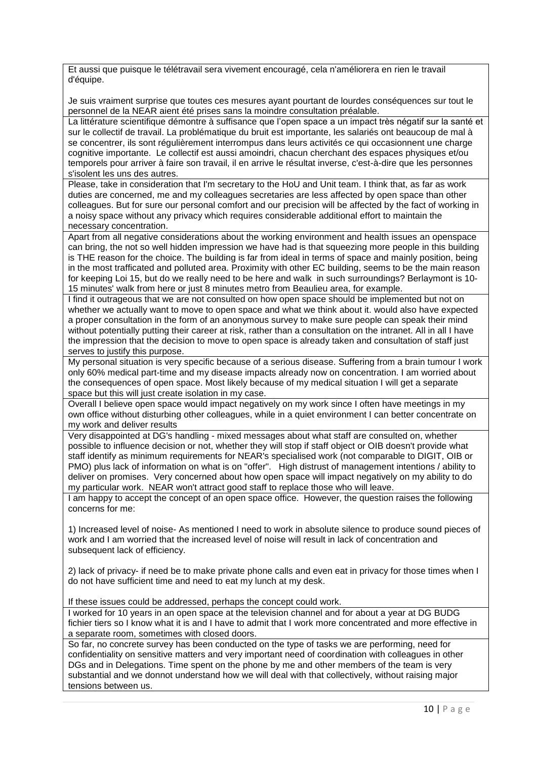Et aussi que puisque le télétravail sera vivement encouragé, cela n'améliorera en rien le travail d'équipe.

Je suis vraiment surprise que toutes ces mesures ayant pourtant de lourdes conséquences sur tout le personnel de la NEAR aient été prises sans la moindre consultation préalable.

La littérature scientifique démontre à suffisance que l'open space a un impact très négatif sur la santé et sur le collectif de travail. La problématique du bruit est importante, les salariés ont beaucoup de mal à se concentrer, ils sont régulièrement interrompus dans leurs activités ce qui occasionnent une charge cognitive importante. Le collectif est aussi amoindri, chacun cherchant des espaces physiques et/ou temporels pour arriver à faire son travail, il en arrive le résultat inverse, c'est-à-dire que les personnes s'isolent les uns des autres.

Please, take in consideration that I'm secretary to the HoU and Unit team. I think that, as far as work duties are concerned, me and my colleagues secretaries are less affected by open space than other colleagues. But for sure our personal comfort and our precision will be affected by the fact of working in a noisy space without any privacy which requires considerable additional effort to maintain the necessary concentration.

Apart from all negative considerations about the working environment and health issues an openspace can bring, the not so well hidden impression we have had is that squeezing more people in this building is THE reason for the choice. The building is far from ideal in terms of space and mainly position, being in the most trafficated and polluted area. Proximity with other EC building, seems to be the main reason for keeping Loi 15, but do we really need to be here and walk in such surroundings? Berlaymont is 10- 15 minutes' walk from here or just 8 minutes metro from Beaulieu area, for example.

I find it outrageous that we are not consulted on how open space should be implemented but not on whether we actually want to move to open space and what we think about it. would also have expected a proper consultation in the form of an anonymous survey to make sure people can speak their mind without potentially putting their career at risk, rather than a consultation on the intranet. All in all I have the impression that the decision to move to open space is already taken and consultation of staff just serves to justify this purpose.

My personal situation is very specific because of a serious disease. Suffering from a brain tumour I work only 60% medical part-time and my disease impacts already now on concentration. I am worried about the consequences of open space. Most likely because of my medical situation I will get a separate space but this will just create isolation in my case.

Overall I believe open space would impact negatively on my work since I often have meetings in my own office without disturbing other colleagues, while in a quiet environment I can better concentrate on my work and deliver results

Very disappointed at DG's handling - mixed messages about what staff are consulted on, whether possible to influence decision or not, whether they will stop if staff object or OIB doesn't provide what staff identify as minimum requirements for NEAR's specialised work (not comparable to DIGIT, OIB or PMO) plus lack of information on what is on "offer". High distrust of management intentions / ability to deliver on promises. Very concerned about how open space will impact negatively on my ability to do my particular work. NEAR won't attract good staff to replace those who will leave.

I am happy to accept the concept of an open space office. However, the question raises the following concerns for me:

1) Increased level of noise- As mentioned I need to work in absolute silence to produce sound pieces of work and I am worried that the increased level of noise will result in lack of concentration and subsequent lack of efficiency.

2) lack of privacy- if need be to make private phone calls and even eat in privacy for those times when I do not have sufficient time and need to eat my lunch at my desk.

If these issues could be addressed, perhaps the concept could work.

I worked for 10 years in an open space at the television channel and for about a year at DG BUDG fichier tiers so I know what it is and I have to admit that I work more concentrated and more effective in a separate room, sometimes with closed doors.

So far, no concrete survey has been conducted on the type of tasks we are performing, need for confidentiality on sensitive matters and very important need of coordination with colleagues in other DGs and in Delegations. Time spent on the phone by me and other members of the team is very substantial and we donnot understand how we will deal with that collectively, without raising major tensions between us.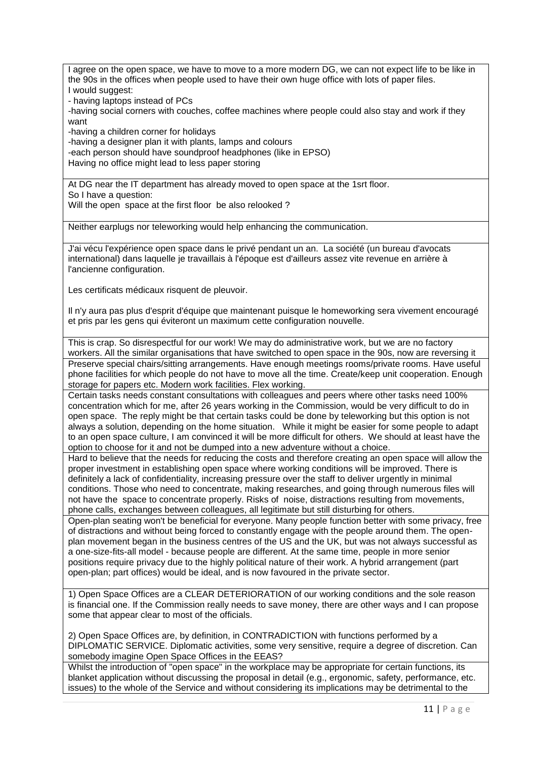I agree on the open space, we have to move to a more modern DG, we can not expect life to be like in the 90s in the offices when people used to have their own huge office with lots of paper files. I would suggest:

- having laptops instead of PCs

-having social corners with couches, coffee machines where people could also stay and work if they want

-having a children corner for holidays

-having a designer plan it with plants, lamps and colours

-each person should have soundproof headphones (like in EPSO)

Having no office might lead to less paper storing

At DG near the IT department has already moved to open space at the 1srt floor. So I have a question: Will the open space at the first floor be also relooked ?

Neither earplugs nor teleworking would help enhancing the communication.

J'ai vécu l'expérience open space dans le privé pendant un an. La société (un bureau d'avocats international) dans laquelle je travaillais à l'époque est d'ailleurs assez vite revenue en arrière à l'ancienne configuration.

Les certificats médicaux risquent de pleuvoir.

Il n'y aura pas plus d'esprit d'équipe que maintenant puisque le homeworking sera vivement encouragé et pris par les gens qui éviteront un maximum cette configuration nouvelle.

This is crap. So disrespectful for our work! We may do administrative work, but we are no factory workers. All the similar organisations that have switched to open space in the 90s, now are reversing it Preserve special chairs/sitting arrangements. Have enough meetings rooms/private rooms. Have useful phone facilities for which people do not have to move all the time. Create/keep unit cooperation. Enough storage for papers etc. Modern work facilities. Flex working.

Certain tasks needs constant consultations with colleagues and peers where other tasks need 100% concentration which for me, after 26 years working in the Commission, would be very difficult to do in open space. The reply might be that certain tasks could be done by teleworking but this option is not always a solution, depending on the home situation. While it might be easier for some people to adapt to an open space culture, I am convinced it will be more difficult for others. We should at least have the option to choose for it and not be dumped into a new adventure without a choice.

Hard to believe that the needs for reducing the costs and therefore creating an open space will allow the proper investment in establishing open space where working conditions will be improved. There is definitely a lack of confidentiality, increasing pressure over the staff to deliver urgently in minimal conditions. Those who need to concentrate, making researches, and going through numerous files will not have the space to concentrate properly. Risks of noise, distractions resulting from movements, phone calls, exchanges between colleagues, all legitimate but still disturbing for others.

Open-plan seating won't be beneficial for everyone. Many people function better with some privacy, free of distractions and without being forced to constantly engage with the people around them. The openplan movement began in the business centres of the US and the UK, but was not always successful as a one-size-fits-all model - because people are different. At the same time, people in more senior positions require privacy due to the highly political nature of their work. A hybrid arrangement (part open-plan; part offices) would be ideal, and is now favoured in the private sector.

1) Open Space Offices are a CLEAR DETERIORATION of our working conditions and the sole reason is financial one. If the Commission really needs to save money, there are other ways and I can propose some that appear clear to most of the officials.

2) Open Space Offices are, by definition, in CONTRADICTION with functions performed by a DIPLOMATIC SERVICE. Diplomatic activities, some very sensitive, require a degree of discretion. Can somebody imagine Open Space Offices in the EEAS?

Whilst the introduction of "open space" in the workplace may be appropriate for certain functions, its blanket application without discussing the proposal in detail (e.g., ergonomic, safety, performance, etc. issues) to the whole of the Service and without considering its implications may be detrimental to the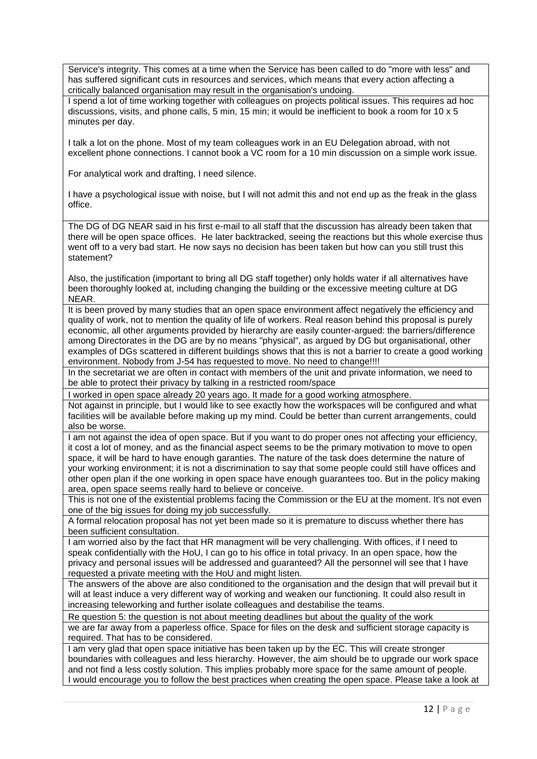Service's integrity. This comes at a time when the Service has been called to do "more with less" and has suffered significant cuts in resources and services, which means that every action affecting a critically balanced organisation may result in the organisation's undoing.

I spend a lot of time working together with colleagues on projects political issues. This requires ad hoc discussions, visits, and phone calls, 5 min, 15 min; it would be inefficient to book a room for 10 x 5 minutes per day.

I talk a lot on the phone. Most of my team colleagues work in an EU Delegation abroad, with not excellent phone connections. I cannot book a VC room for a 10 min discussion on a simple work issue.

For analytical work and drafting, I need silence.

I have a psychological issue with noise, but I will not admit this and not end up as the freak in the glass office.

The DG of DG NEAR said in his first e-mail to all staff that the discussion has already been taken that there will be open space offices. He later backtracked, seeing the reactions but this whole exercise thus went off to a very bad start. He now says no decision has been taken but how can you still trust this statement?

Also, the justification (important to bring all DG staff together) only holds water if all alternatives have been thoroughly looked at, including changing the building or the excessive meeting culture at DG NEAR.

It is been proved by many studies that an open space environment affect negatively the efficiency and quality of work, not to mention the quality of life of workers. Real reason behind this proposal is purely economic, all other arguments provided by hierarchy are easily counter-argued: the barriers/difference among Directorates in the DG are by no means "physical", as argued by DG but organisational, other examples of DGs scattered in different buildings shows that this is not a barrier to create a good working environment. Nobody from J-54 has requested to move. No need to change!!!!

In the secretariat we are often in contact with members of the unit and private information, we need to be able to protect their privacy by talking in a restricted room/space

I worked in open space already 20 years ago. It made for a good working atmosphere.

Not against in principle, but I would like to see exactly how the workspaces will be configured and what facilities will be available before making up my mind. Could be better than current arrangements, could also be worse.

I am not against the idea of open space. But if you want to do proper ones not affecting your efficiency, it cost a lot of money, and as the financial aspect seems to be the primary motivation to move to open space, it will be hard to have enough garanties. The nature of the task does determine the nature of your working environment; it is not a discrimination to say that some people could still have offices and other open plan if the one working in open space have enough guarantees too. But in the policy making area, open space seems really hard to believe or conceive.

This is not one of the existential problems facing the Commission or the EU at the moment. It's not even one of the big issues for doing my job successfully.

A formal relocation proposal has not yet been made so it is premature to discuss whether there has been sufficient consultation.

I am worried also by the fact that HR managment will be very challenging. With offices, if I need to speak confidentially with the HoU, I can go to his office in total privacy. In an open space, how the privacy and personal issues will be addressed and guaranteed? All the personnel will see that I have requested a private meeting with the HoU and might listen.

The answers of the above are also conditioned to the organisation and the design that will prevail but it will at least induce a very different way of working and weaken our functioning. It could also result in increasing teleworking and further isolate colleagues and destabilise the teams.

Re question 5: the question is not about meeting deadlines but about the quality of the work we are far away from a paperless office. Space for files on the desk and sufficient storage capacity is required. That has to be considered.

I am very glad that open space initiative has been taken up by the EC. This will create stronger boundaries with colleagues and less hierarchy. However, the aim should be to upgrade our work space and not find a less costly solution. This implies probably more space for the same amount of people. I would encourage you to follow the best practices when creating the open space. Please take a look at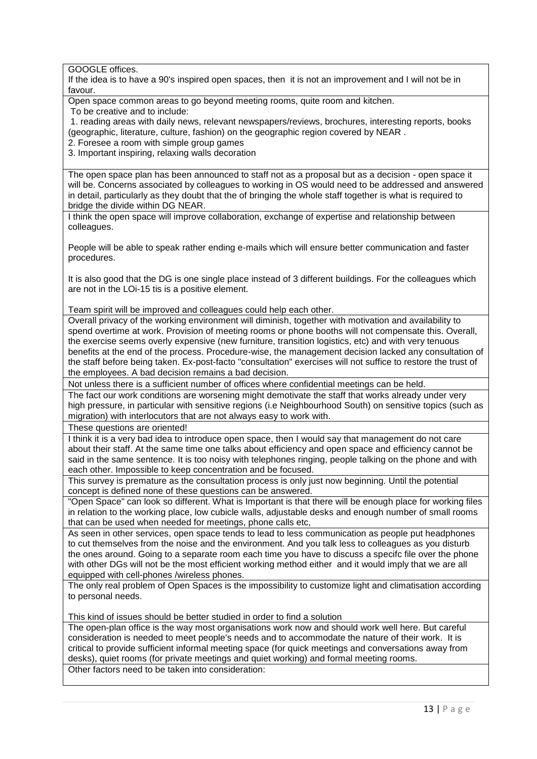GOOGLE offices.

If the idea is to have a 90's inspired open spaces, then it is not an improvement and I will not be in favour.

Open space common areas to go beyond meeting rooms, quite room and kitchen.

To be creative and to include:

1. reading areas with daily news, relevant newspapers/reviews, brochures, interesting reports, books (geographic, literature, culture, fashion) on the geographic region covered by NEAR .

2. Foresee a room with simple group games

3. Important inspiring, relaxing walls decoration

The open space plan has been announced to staff not as a proposal but as a decision - open space it will be. Concerns associated by colleagues to working in OS would need to be addressed and answered in detail, particularly as they doubt that the of bringing the whole staff together is what is required to bridge the divide within DG NEAR.

I think the open space will improve collaboration, exchange of expertise and relationship between colleagues.

People will be able to speak rather ending e-mails which will ensure better communication and faster procedures.

It is also good that the DG is one single place instead of 3 different buildings. For the colleagues which are not in the LOi-15 tis is a positive element.

Team spirit will be improved and colleagues could help each other.

Overall privacy of the working environment will diminish, together with motivation and availability to spend overtime at work. Provision of meeting rooms or phone booths will not compensate this. Overall, the exercise seems overly expensive (new furniture, transition logistics, etc) and with very tenuous benefits at the end of the process. Procedure-wise, the management decision lacked any consultation of the staff before being taken. Ex-post-facto "consultation" exercises will not suffice to restore the trust of the employees. A bad decision remains a bad decision.

Not unless there is a sufficient number of offices where confidential meetings can be held.

The fact our work conditions are worsening might demotivate the staff that works already under very high pressure, in particular with sensitive regions (i.e Neighbourhood South) on sensitive topics (such as migration) with interlocutors that are not always easy to work with.

These questions are oriented!

I think it is a very bad idea to introduce open space, then I would say that management do not care about their staff. At the same time one talks about efficiency and open space and efficiency cannot be said in the same sentence. It is too noisy with telephones ringing, people talking on the phone and with each other. Impossible to keep concentration and be focused.

This survey is premature as the consultation process is only just now beginning. Until the potential concept is defined none of these questions can be answered.

"Open Space" can look so different. What is Important is that there will be enough place for working files in relation to the working place, low cubicle walls, adjustable desks and enough number of small rooms that can be used when needed for meetings, phone calls etc,

As seen in other services, open space tends to lead to less communication as people put headphones to cut themselves from the noise and the environment. And you talk less to colleagues as you disturb the ones around. Going to a separate room each time you have to discuss a specifc file over the phone with other DGs will not be the most efficient working method either and it would imply that we are all equipped with cell-phones /wireless phones.

The only real problem of Open Spaces is the impossibility to customize light and climatisation according to personal needs.

This kind of issues should be better studied in order to find a solution

The open-plan office is the way most organisations work now and should work well here. But careful consideration is needed to meet people's needs and to accommodate the nature of their work. It is critical to provide sufficient informal meeting space (for quick meetings and conversations away from desks), quiet rooms (for private meetings and quiet working) and formal meeting rooms. Other factors need to be taken into consideration: